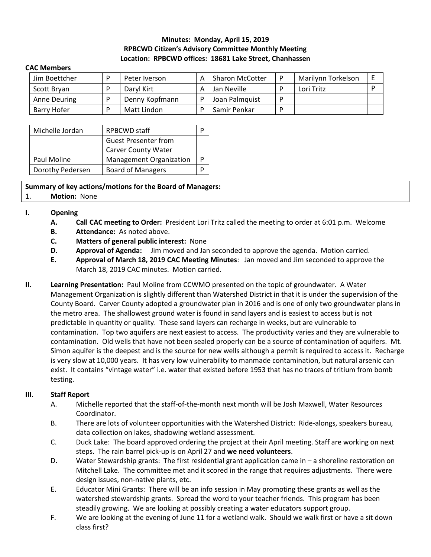# **Minutes: Monday, April 15, 2019 RPBCWD Citizen's Advisory Committee Monthly Meeting Location: RPBCWD offices: 18681 Lake Street, Chanhassen**

#### **CAC Members**

| Jim Boettcher | Peter Iverson  | <b>Sharon McCotter</b> | Marilynn Torkelson |  |
|---------------|----------------|------------------------|--------------------|--|
| Scott Bryan   | Darvl Kirt     | Jan Neville            | Lori Tritz         |  |
| Anne Deuring  | Denny Kopfmann | Joan Palmquist         |                    |  |
| Barry Hofer   | Matt Lindon    | Samir Penkar           |                    |  |

| Michelle Jordan  | <b>RPBCWD staff</b>         |  |
|------------------|-----------------------------|--|
|                  | <b>Guest Presenter from</b> |  |
|                  | <b>Carver County Water</b>  |  |
| Paul Moline      | Management Organization     |  |
| Dorothy Pedersen | <b>Board of Managers</b>    |  |

**Summary of key actions/motions for the Board of Managers:**  1. **Motion:** None

## **I. Opening**

- **A. Call CAC meeting to Order:** President Lori Tritz called the meeting to order at 6:01 p.m. Welcome
- **B. Attendance:** As noted above.
- **C. Matters of general public interest:** None
- **D. Approval of Agenda:** Jim moved and Jan seconded to approve the agenda. Motion carried.
- **E. Approval of March 18, 2019 CAC Meeting Minutes**: Jan moved and Jim seconded to approve the March 18, 2019 CAC minutes. Motion carried.
- **II. Learning Presentation:** Paul Moline from CCWMO presented on the topic of groundwater. A Water Management Organization is slightly different than Watershed District in that it is under the supervision of the County Board. Carver County adopted a groundwater plan in 2016 and is one of only two groundwater plans in the metro area. The shallowest ground water is found in sand layers and is easiest to access but is not predictable in quantity or quality. These sand layers can recharge in weeks, but are vulnerable to contamination. Top two aquifers are next easiest to access. The productivity varies and they are vulnerable to contamination. Old wells that have not been sealed properly can be a source of contamination of aquifers. Mt. Simon aquifer is the deepest and is the source for new wells although a permit is required to access it. Recharge is very slow at 10,000 years. It has very low vulnerability to manmade contamination, but natural arsenic can exist. It contains "vintage water" i.e. water that existed before 1953 that has no traces of tritium from bomb testing.

## **III. Staff Report**

- A. Michelle reported that the staff-of-the-month next month will be Josh Maxwell, Water Resources Coordinator.
- B. There are lots of volunteer opportunities with the Watershed District: Ride-alongs, speakers bureau, data collection on lakes, shadowing wetland assessment.
- C. Duck Lake: The board approved ordering the project at their April meeting. Staff are working on next steps. The rain barrel pick-up is on April 27 and **we need volunteers**.
- D. Water Stewardship grants: The first residential grant application came in a shoreline restoration on Mitchell Lake. The committee met and it scored in the range that requires adjustments. There were design issues, non-native plants, etc.
- E. Educator Mini Grants: There will be an info session in May promoting these grants as well as the watershed stewardship grants. Spread the word to your teacher friends. This program has been steadily growing. We are looking at possibly creating a water educators support group.
- F. We are looking at the evening of June 11 for a wetland walk. Should we walk first or have a sit down class first?